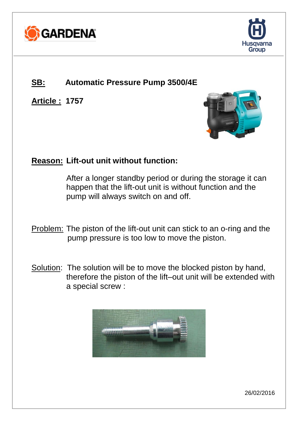



## **SB: Automatic Pressure Pump 3500/4E**

**Article : 1757**



## **Reason: Lift-out unit without function:**

After a longer standby period or during the storage it can happen that the lift-out unit is without function and the pump will always switch on and off.

- Problem: The piston of the lift-out unit can stick to an o-ring and the pump pressure is too low to move the piston.
- Solution: The solution will be to move the blocked piston by hand, therefore the piston of the lift–out unit will be extended with a special screw :

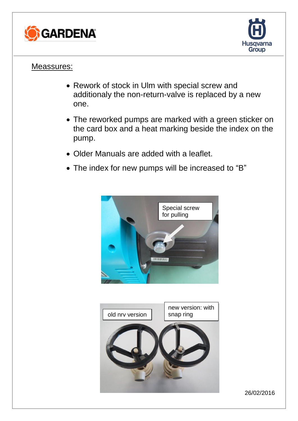



## Meassures:

- Rework of stock in Ulm with special screw and additionaly the non-return-valve is replaced by a new one.
- The reworked pumps are marked with a green sticker on the card box and a heat marking beside the index on the pump.
- Older Manuals are added with a leaflet.
- The index for new pumps will be increased to "B"



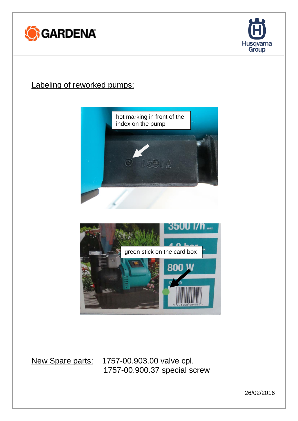



## Labeling of reworked pumps:





New Spare parts: 1757-00.903.00 valve cpl. 1757-00.900.37 special screw